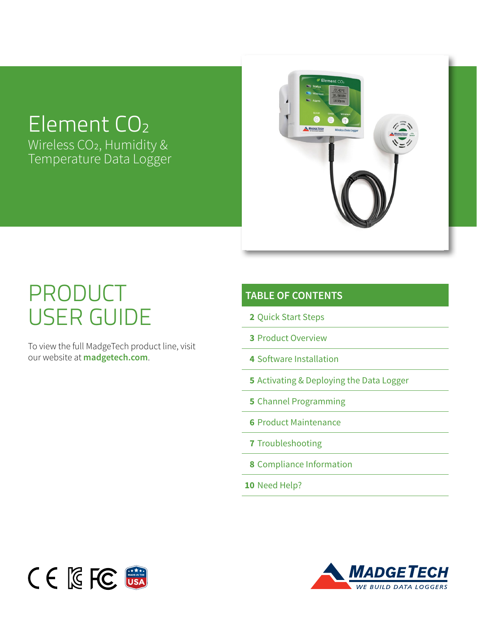# Element CO<sub>2</sub>

Wireless CO2, Humidity & Temperature Data Logger



# PRODUCT USER GUIDE

To view the full MadgeTech product line, visit our website at **madgetech.com**.

### **TABLE OF CONTENTS**

- **2** [Quick Start Steps](#page-1-0)
- **3** [Product Overview](#page-2-0)
- **4** [Software Installation](#page-3-0)
- **5** [Activating & Deploying the Data Logger](#page-4-0)
- **5** [Channel Programming](#page-4-0)
- **6** [Product Maintenance](#page-5-0)
- **7** [Troubleshooting](#page-6-0)
- **8** [Compliance Information](#page-7-0)
- **10** [Need Help?](#page-8-0)



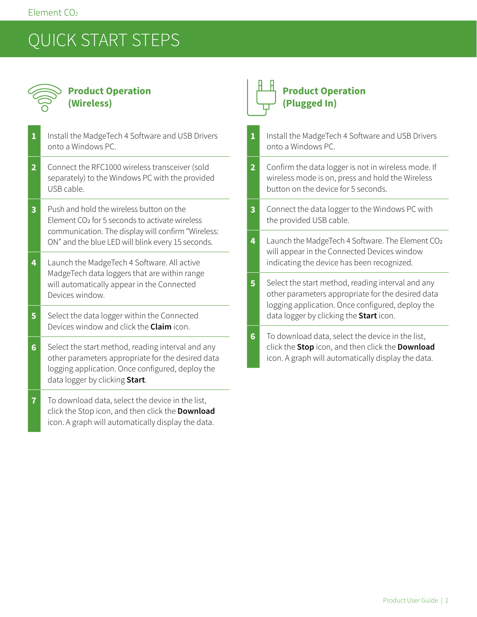# <span id="page-1-0"></span>QUICK START STEPS



### **Product Operation (Wireless)**

| $\mathbf{1}$   | Install the MadgeTech 4 Software and USB Drivers<br>onto a Windows PC.                                                                                                                                            |
|----------------|-------------------------------------------------------------------------------------------------------------------------------------------------------------------------------------------------------------------|
| $\overline{2}$ | Connect the RFC1000 wireless transceiver (sold<br>separately) to the Windows PC with the provided<br>USB cable.                                                                                                   |
| 3              | Push and hold the wireless button on the<br>Element CO <sub>2</sub> for 5 seconds to activate wireless<br>communication. The display will confirm "Wireless:<br>ON" and the blue LED will blink every 15 seconds. |
| 4              | Launch the MadgeTech 4 Software. All active<br>MadgeTech data loggers that are within range<br>will automatically appear in the Connected<br>Devices window.                                                      |
| 5              | Select the data logger within the Connected<br>Devices window and click the Claim icon.                                                                                                                           |
| 6              | Select the start method, reading interval and any<br>other parameters appropriate for the desired data<br>logging application. Once configured, deploy the<br>data logger by clicking Start.                      |
| 7              | To download data, select the device in the list,<br>click the Stop icon, and then click the Download<br>icon. A graph will automatically display the data.                                                        |

### **Product Operation (Plugged In)**

| 1              | Install the MadgeTech 4 Software and USB Drivers<br>onto a Windows PC.                                                                                                                                |
|----------------|-------------------------------------------------------------------------------------------------------------------------------------------------------------------------------------------------------|
| $\overline{2}$ | Confirm the data logger is not in wireless mode. If<br>wireless mode is on, press and hold the Wireless<br>button on the device for 5 seconds.                                                        |
| 3              | Connect the data logger to the Windows PC with<br>the provided USB cable.                                                                                                                             |
| 4              | Launch the MadgeTech 4 Software. The Element CO2<br>will appear in the Connected Devices window<br>indicating the device has been recognized.                                                         |
| 5              | Select the start method, reading interval and any<br>other parameters appropriate for the desired data<br>logging application. Once configured, deploy the<br>data logger by clicking the Start icon. |
| 6              | To download data, select the device in the list,<br>click the Stop icon, and then click the Download<br>icon. A graph will automatically display the data.                                            |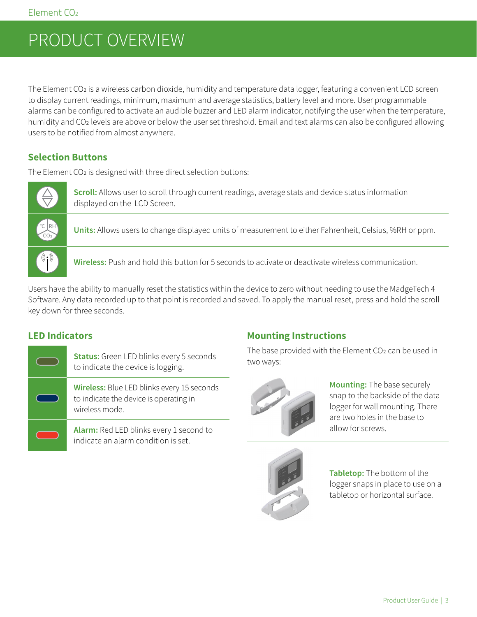# <span id="page-2-0"></span>PRODUCT OVERVIEW

The Element CO2 is a wireless carbon dioxide, humidity and temperature data logger, featuring a convenient LCD screen to display current readings, minimum, maximum and average statistics, battery level and more. User programmable alarms can be configured to activate an audible buzzer and LED alarm indicator, notifying the user when the temperature, humidity and CO2 levels are above or below the user set threshold. Email and text alarms can also be configured allowing users to be notified from almost anywhere.

#### **Selection Buttons**

The Element CO<sub>2</sub> is designed with three direct selection buttons:



**Scroll:** Allows user to scroll through current readings, average stats and device status information displayed on the LCD Screen.

**Units:** Allows users to change displayed units of measurement to either Fahrenheit, Celsius, %RH or ppm.

**Wireless:** Push and hold this button for 5 seconds to activate or deactivate wireless communication.

Users have the ability to manually reset the statistics within the device to zero without needing to use the MadgeTech 4 Software. Any data recorded up to that point is recorded and saved. To apply the manual reset, press and hold the scroll key down for three seconds.

#### **LED Indicators**

**Status:** Green LED blinks every 5 seconds to indicate the device is logging.

**Wireless:** Blue LED blinks every 15 seconds to indicate the device is operating in wireless mode.

**Alarm:** Red LED blinks every 1 second to indicate an alarm condition is set.

### **Mounting Instructions**

The base provided with the Element CO<sub>2</sub> can be used in two ways:



**Mounting:** The base securely snap to the backside of the data logger for wall mounting. There are two holes in the base to allow for screws.



**Tabletop:** The bottom of the logger snaps in place to use on a tabletop or horizontal surface.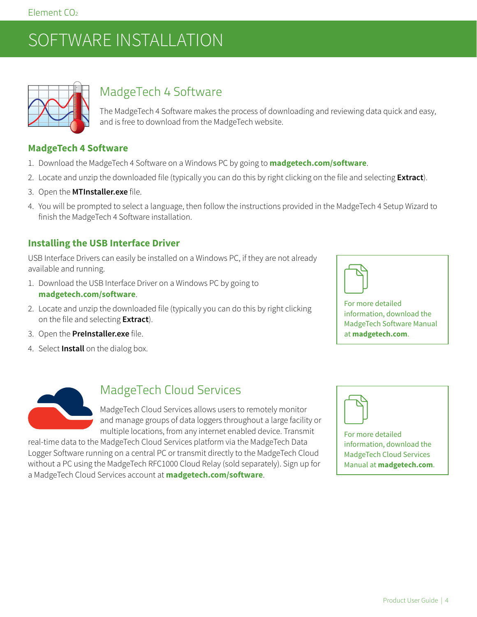# <span id="page-3-0"></span>SOFTWARE INSTALLATION



### MadgeTech 4 Software

The MadgeTech 4 Software makes the process of downloading and reviewing data quick and easy, and is free to download from the MadgeTech website.

### **MadgeTech 4 Software**

- 1. Download the MadgeTech 4 Software on a Windows PC by going to **[madgetech.com/](https://www.madgetech.com/software/)software**.
- 2. Locate and unzip the downloaded file (typically you can do this by right clicking on the file and selecting **Extract**).
- 3. Open the **MTInstaller.exe** file.
- 4. You will be prompted to select a language, then follow the instructions provided in the MadgeTech 4 Setup Wizard to finish the MadgeTech 4 Software installation.

#### **Installing the USB Interface Driver**

USB Interface Drivers can easily be installed on a Windows PC, if they are not already available and running.

- 1. Download the USB Interface Driver on a Windows PC by going to **[madgetech.com](https://www.madgetech.com/software/)/software**.
- 2. Locate and unzip the downloaded file (typically you can do this by right clicking on the file and selecting **Extract**).
- 3. Open the **PreInstaller.exe** file.
- 4. Select **Install** on the dialog box.



For more detailed information, download the MadgeTech Software Manual at **[madgetech.com](https://www.madgetech.com)**.



### MadgeTech Cloud Services

MadgeTech Cloud Services allows users to remotely monitor and manage groups of data loggers throughout a large facility or multiple locations, from any internet enabled device. Transmit

real-time data to the MadgeTech Cloud Services platform via the MadgeTech Data Logger Software running on a central PC or transmit directly to the MadgeTech Cloud without a PC using the MadgeTech RFC1000 Cloud Relay (sold separately). Sign up for a MadgeTech Cloud Services account at **[madgetech.com/](https://www.madgetech.com/software/)software**.



For more detailed information, download the MadgeTech Cloud Services Manual at **[madgetech.com](https://www.madgetech.com)**.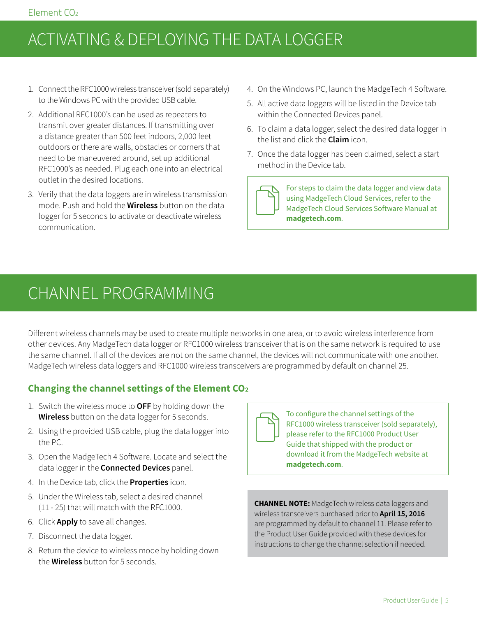# <span id="page-4-0"></span>ACTIVATING & DEPLOYING THE DATA LOGGER

- 1. Connect the RFC1000 wireless transceiver (sold separately) to the Windows PC with the provided USB cable.
- 2. Additional RFC1000's can be used as repeaters to transmit over greater distances. If transmitting over a distance greater than 500 feet indoors, 2,000 feet outdoors or there are walls, obstacles or corners that need to be maneuvered around, set up additional RFC1000's as needed. Plug each one into an electrical outlet in the desired locations.
- 3. Verify that the data loggers are in wireless transmission mode. Push and hold the **Wireless** button on the data logger for 5 seconds to activate or deactivate wireless communication.
- 4. On the Windows PC, launch the MadgeTech 4 Software.
- 5. All active data loggers will be listed in the Device tab within the Connected Devices panel.
- 6. To claim a data logger, select the desired data logger in the list and click the **Claim** icon.
- 7. Once the data logger has been claimed, select a start method in the Device tab.

For steps to claim the data logger and view data using MadgeTech Cloud Services, refer to the MadgeTech Cloud Services Software Manual at **[madgetech.com](https://www.madgetech.com)**.

### CHANNEL PROGRAMMING

Different wireless channels may be used to create multiple networks in one area, or to avoid wireless interference from other devices. Any MadgeTech data logger or RFC1000 wireless transceiver that is on the same network is required to use the same channel. If all of the devices are not on the same channel, the devices will not communicate with one another. MadgeTech wireless data loggers and RFC1000 wireless transceivers are programmed by default on channel 25.

### **Changing the channel settings of the Element CO2**

- 1. Switch the wireless mode to **OFF** by holding down the **Wireless** button on the data logger for 5 seconds.
- 2. Using the provided USB cable, plug the data logger into the PC.
- 3. Open the MadgeTech 4 Software. Locate and select the data logger in the **Connected Devices** panel.
- 4. In the Device tab, click the **Properties** icon.
- 5. Under the Wireless tab, select a desired channel (11 - 25) that will match with the RFC1000.
- 6. Click **Apply** to save all changes.
- 7. Disconnect the data logger.
- 8. Return the device to wireless mode by holding down the **Wireless** button for 5 seconds.



To configure the channel settings of the RFC1000 wireless transceiver (sold separately), please refer to the RFC1000 Product User Guide that shipped with the product or download it from the MadgeTech website at **[madgetech.com](https://www.madgetech.com)**.

**CHANNEL NOTE:** MadgeTech wireless data loggers and wireless transceivers purchased prior to **April 15, 2016** are programmed by default to channel 11. Please refer to the Product User Guide provided with these devices for instructions to change the channel selection if needed.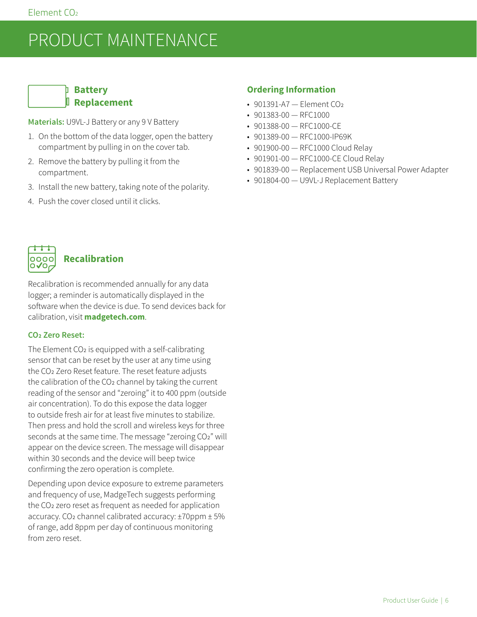## <span id="page-5-0"></span>PRODUCT MAINTENANCE

### **Battery Replacement**

**Materials:** U9VL-J Battery or any 9 V Battery

- 1. On the bottom of the data logger, open the battery compartment by pulling in on the cover tab.
- 2. Remove the battery by pulling it from the compartment.
- 3. Install the new battery, taking note of the polarity.
- 4. Push the cover closed until it clicks.

#### **Ordering Information**

- 901391-A7 Element CO<sub>2</sub>
- 901383-00 RFC1000
- 901388-00 RFC1000-CE
- 901389-00 RFC1000-IP69K
- 901900-00 RFC1000 Cloud Relay
- 901901-00 RFC1000-CE Cloud Relay
- 901839-00 Replacement USB Universal Power Adapter
- 901804-00 U9VL-J Replacement Battery



#### **Recalibration**

Recalibration is recommended annually for any data logger; a reminder is automatically displayed in the software when the device is due. To send devices back for calibration, visit **[madgetech.com](https://www.madgetech.com)**.

#### **CO2 Zero Reset:**

The Element CO<sub>2</sub> is equipped with a self-calibrating sensor that can be reset by the user at any time using the CO2 Zero Reset feature. The reset feature adjusts the calibration of the CO<sub>2</sub> channel by taking the current reading of the sensor and "zeroing" it to 400 ppm (outside air concentration). To do this expose the data logger to outside fresh air for at least five minutes to stabilize. Then press and hold the scroll and wireless keys for three seconds at the same time. The message "zeroing CO2" will appear on the device screen. The message will disappear within 30 seconds and the device will beep twice confirming the zero operation is complete.

Depending upon device exposure to extreme parameters and frequency of use, MadgeTech suggests performing the CO2 zero reset as frequent as needed for application accuracy. CO2 channel calibrated accuracy: ±70ppm ± 5% of range, add 8ppm per day of continuous monitoring from zero reset.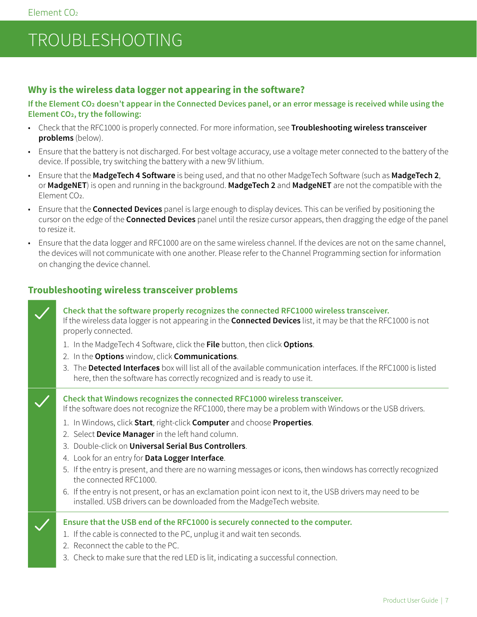# <span id="page-6-0"></span>TROUBLESHOOTING

#### **Why is the wireless data logger not appearing in the software?**

**If the Element CO2 doesn't appear in the Connected Devices panel, or an error message is received while using the Element CO2, try the following:**

- Check that the RFC1000 is properly connected. For more information, see **Troubleshooting wireless transceiver problems** (below).
- Ensure that the battery is not discharged. For best voltage accuracy, use a voltage meter connected to the battery of the device. If possible, try switching the battery with a new 9V lithium.
- Ensure that the **MadgeTech 4 Software** is being used, and that no other MadgeTech Software (such as **MadgeTech 2**, or **MadgeNET**) is open and running in the background. **MadgeTech 2** and **MadgeNET** are not the compatible with the Element CO<sub>2</sub>.
- Ensure that the **Connected Devices** panel is large enough to display devices. This can be verified by positioning the cursor on the edge of the **Connected Devices** panel until the resize cursor appears, then dragging the edge of the panel to resize it.
- Ensure that the data logger and RFC1000 are on the same wireless channel. If the devices are not on the same channel, the devices will not communicate with one another. Please refer to the Channel Programming section for information on changing the device channel.

#### **Troubleshooting wireless transceiver problems**

**Check that the software properly recognizes the connected RFC1000 wireless transceiver.** If the wireless data logger is not appearing in the **Connected Devices** list, it may be that the RFC1000 is not properly connected.

- 1. In the MadgeTech 4 Software, click the **File** button, then click **Options**.
- 2. In the **Options** window, click **Communications**.
- 3. The **Detected Interfaces** box will list all of the available communication interfaces. If the RFC1000 is listed here, then the software has correctly recognized and is ready to use it.

**Check that Windows recognizes the connected RFC1000 wireless transceiver.**

If the software does not recognize the RFC1000, there may be a problem with Windows or the USB drivers.

- 1. In Windows, click **Start**, right-click **Computer** and choose **Properties**.
- 2. Select **Device Manager** in the left hand column.
- 3. Double-click on **Universal Serial Bus Controllers**.
- 4. Look for an entry for **Data Logger Interface**.
- 5. If the entry is present, and there are no warning messages or icons, then windows has correctly recognized the connected RFC1000.
- 6. If the entry is not present, or has an exclamation point icon next to it, the USB drivers may need to be installed. USB drivers can be downloaded from the MadgeTech website.

#### **Ensure that the USB end of the RFC1000 is securely connected to the computer.**

- 1. If the cable is connected to the PC, unplug it and wait ten seconds.
- 2. Reconnect the cable to the PC.
- 3. Check to make sure that the red LED is lit, indicating a successful connection.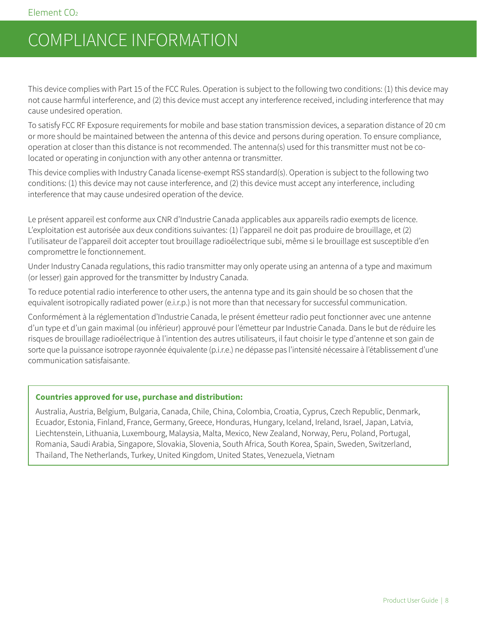## <span id="page-7-0"></span>COMPLIANCE INFORMATION

This device complies with Part 15 of the FCC Rules. Operation is subject to the following two conditions: (1) this device may not cause harmful interference, and (2) this device must accept any interference received, including interference that may cause undesired operation.

To satisfy FCC RF Exposure requirements for mobile and base station transmission devices, a separation distance of 20 cm or more should be maintained between the antenna of this device and persons during operation. To ensure compliance, operation at closer than this distance is not recommended. The antenna(s) used for this transmitter must not be colocated or operating in conjunction with any other antenna or transmitter.

This device complies with Industry Canada license-exempt RSS standard(s). Operation is subject to the following two conditions: (1) this device may not cause interference, and (2) this device must accept any interference, including interference that may cause undesired operation of the device.

Le présent appareil est conforme aux CNR d'Industrie Canada applicables aux appareils radio exempts de licence. L'exploitation est autorisée aux deux conditions suivantes: (1) l'appareil ne doit pas produire de brouillage, et (2) l'utilisateur de l'appareil doit accepter tout brouillage radioélectrique subi, même si le brouillage est susceptible d'en compromettre le fonctionnement.

Under Industry Canada regulations, this radio transmitter may only operate using an antenna of a type and maximum (or lesser) gain approved for the transmitter by Industry Canada.

To reduce potential radio interference to other users, the antenna type and its gain should be so chosen that the equivalent isotropically radiated power (e.i.r.p.) is not more than that necessary for successful communication.

Conformément à la réglementation d'Industrie Canada, le présent émetteur radio peut fonctionner avec une antenne d'un type et d'un gain maximal (ou inférieur) approuvé pour l'émetteur par Industrie Canada. Dans le but de réduire les risques de brouillage radioélectrique à l'intention des autres utilisateurs, il faut choisir le type d'antenne et son gain de sorte que la puissance isotrope rayonnée équivalente (p.i.r.e.) ne dépasse pas l'intensité nécessaire à l'établissement d'une communication satisfaisante.

#### **Countries approved for use, purchase and distribution:**

Australia, Austria, Belgium, Bulgaria, Canada, Chile, China, Colombia, Croatia, Cyprus, Czech Republic, Denmark, Ecuador, Estonia, Finland, France, Germany, Greece, Honduras, Hungary, Iceland, Ireland, Israel, Japan, Latvia, Liechtenstein, Lithuania, Luxembourg, Malaysia, Malta, Mexico, New Zealand, Norway, Peru, Poland, Portugal, Romania, Saudi Arabia, Singapore, Slovakia, Slovenia, South Africa, South Korea, Spain, Sweden, Switzerland, Thailand, The Netherlands, Turkey, United Kingdom, United States, Venezuela, Vietnam